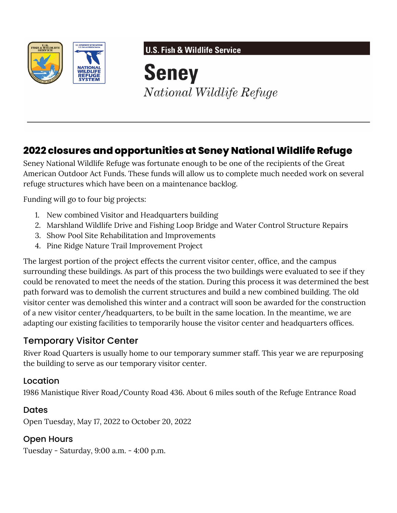

**U.S. Fish & Wildlife Service** 

**Seney** National Wildlife Refuge

# **2022 closures and opportunities at Seney National Wildlife Refuge**

Seney National Wildlife Refuge was fortunate enough to be one of the recipients of the Great American Outdoor Act Funds. These funds will allow us to complete much needed work on several refuge structures which have been on a maintenance backlog.

Funding will go to four big projects:

- 1. New combined Visitor and Headquarters building
- 2. Marshland Wildlife Drive and Fishing Loop Bridge and Water Control Structure Repairs
- 3. Show Pool Site Rehabilitation and Improvements
- 4. Pine Ridge Nature Trail Improvement Project

The largest portion of the project effects the current visitor center, office, and the campus surrounding these buildings. As part of this process the two buildings were evaluated to see if they could be renovated to meet the needs of the station. During this process it was determined the best path forward was to demolish the current structures and build a new combined building. The old visitor center was demolished this winter and a contract will soon be awarded for the construction of a new visitor center/headquarters, to be built in the same location. In the meantime, we are adapting our existing facilities to temporarily house the visitor center and headquarters offices.

### Temporary Visitor Center

River Road Quarters is usually home to our temporary summer staff. This year we are repurposing the building to serve as our temporary visitor center.

#### Location

1986 Manistique River Road/County Road 436. About 6 miles south of the Refuge Entrance Road

#### Dates

Open Tuesday, May 17, 2022 to October 20, 2022

#### Open Hours

Tuesday - Saturday, 9:00 a.m. - 4:00 p.m.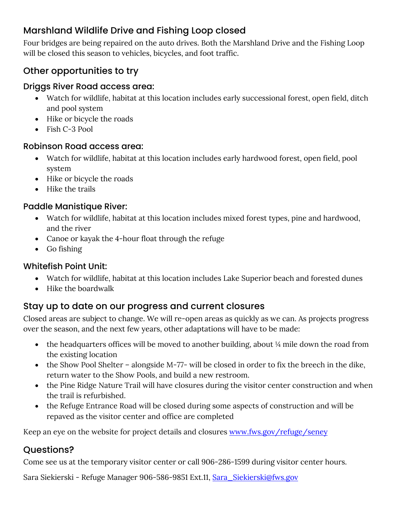# Marshland Wildlife Drive and Fishing Loop closed

Four bridges are being repaired on the auto drives. Both the Marshland Drive and the Fishing Loop will be closed this season to vehicles, bicycles, and foot traffic.

## Other opportunities to try

#### Driggs River Road access area:

- Watch for wildlife, habitat at this location includes early successional forest, open field, ditch and pool system
- Hike or bicycle the roads
- Fish C-3 Pool

#### Robinson Road access area:

- Watch for wildlife, habitat at this location includes early hardwood forest, open field, pool system
- Hike or bicycle the roads
- Hike the trails

### Paddle Manistique River:

- Watch for wildlife, habitat at this location includes mixed forest types, pine and hardwood, and the river
- Canoe or kayak the 4-hour float through the refuge
- Go fishing

#### Whitefish Point Unit:

- Watch for wildlife, habitat at this location includes Lake Superior beach and forested dunes
- Hike the boardwalk

## Stay up to date on our progress and current closures

Closed areas are subject to change. We will re-open areas as quickly as we can. As projects progress over the season, and the next few years, other adaptations will have to be made:

- the headquarters offices will be moved to another building, about  $\frac{1}{4}$  mile down the road from the existing location
- the Show Pool Shelter alongside M-77- will be closed in order to fix the breech in the dike, return water to the Show Pools, and build a new restroom.
- the Pine Ridge Nature Trail will have closures during the visitor center construction and when the trail is refurbished.
- the Refuge Entrance Road will be closed during some aspects of construction and will be repaved as the visitor center and office are completed

Keep an eye on the website for project details and closures [www.fws.gov/refuge/seney](https://doimspp-my.sharepoint.com/personal/sara_giles_fws_gov/Documents/www.fws.gov/refuge/seney)

## Questions?

Come see us at the temporary visitor center or call 906-286-1599 during visitor center hours.

Sara Siekierski - Refuge Manager 906-586-9851 Ext.11, [Sara\\_Siekierski@fws.gov](mailto:Sara_Siekierski@fws.gov)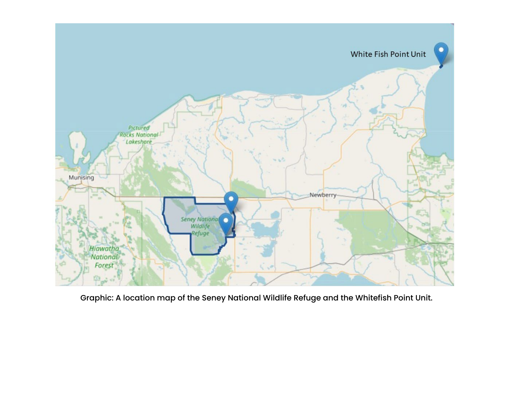

Graphic: A location map of the Seney National Wildlife Refuge and the Whitefish Point Unit.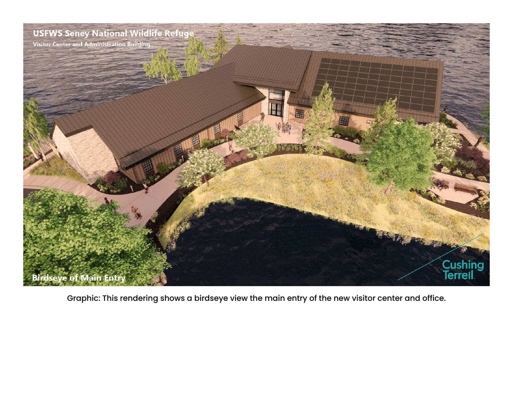

Graphic: This rendering shows a birdseye view the main entry of the new visitor center and office.